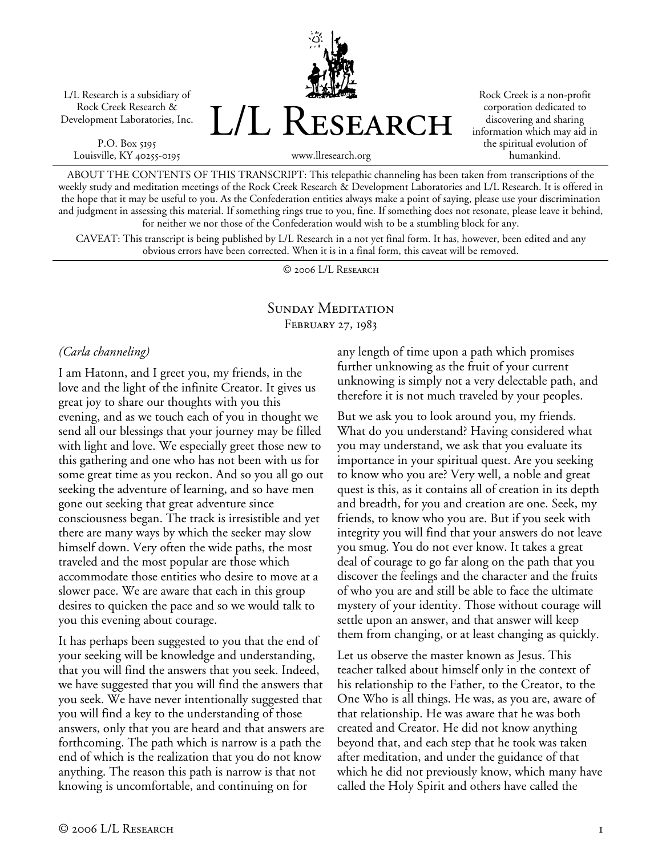L/L Research is a subsidiary of Rock Creek Research & Development Laboratories, Inc.

P.O. Box 5195 Louisville, KY 40255-0195 L/L Research

Rock Creek is a non-profit corporation dedicated to discovering and sharing information which may aid in the spiritual evolution of humankind.

www.llresearch.org

ABOUT THE CONTENTS OF THIS TRANSCRIPT: This telepathic channeling has been taken from transcriptions of the weekly study and meditation meetings of the Rock Creek Research & Development Laboratories and L/L Research. It is offered in the hope that it may be useful to you. As the Confederation entities always make a point of saying, please use your discrimination and judgment in assessing this material. If something rings true to you, fine. If something does not resonate, please leave it behind, for neither we nor those of the Confederation would wish to be a stumbling block for any.

CAVEAT: This transcript is being published by L/L Research in a not yet final form. It has, however, been edited and any obvious errors have been corrected. When it is in a final form, this caveat will be removed.

© 2006 L/L Research

# SUNDAY MEDITATION FEBRUARY 27, 1983

*(Carla channeling)* 

I am Hatonn, and I greet you, my friends, in the love and the light of the infinite Creator. It gives us great joy to share our thoughts with you this evening, and as we touch each of you in thought we send all our blessings that your journey may be filled with light and love. We especially greet those new to this gathering and one who has not been with us for some great time as you reckon. And so you all go out seeking the adventure of learning, and so have men gone out seeking that great adventure since consciousness began. The track is irresistible and yet there are many ways by which the seeker may slow himself down. Very often the wide paths, the most traveled and the most popular are those which accommodate those entities who desire to move at a slower pace. We are aware that each in this group desires to quicken the pace and so we would talk to you this evening about courage.

It has perhaps been suggested to you that the end of your seeking will be knowledge and understanding, that you will find the answers that you seek. Indeed, we have suggested that you will find the answers that you seek. We have never intentionally suggested that you will find a key to the understanding of those answers, only that you are heard and that answers are forthcoming. The path which is narrow is a path the end of which is the realization that you do not know anything. The reason this path is narrow is that not knowing is uncomfortable, and continuing on for

any length of time upon a path which promises further unknowing as the fruit of your current unknowing is simply not a very delectable path, and therefore it is not much traveled by your peoples.

But we ask you to look around you, my friends. What do you understand? Having considered what you may understand, we ask that you evaluate its importance in your spiritual quest. Are you seeking to know who you are? Very well, a noble and great quest is this, as it contains all of creation in its depth and breadth, for you and creation are one. Seek, my friends, to know who you are. But if you seek with integrity you will find that your answers do not leave you smug. You do not ever know. It takes a great deal of courage to go far along on the path that you discover the feelings and the character and the fruits of who you are and still be able to face the ultimate mystery of your identity. Those without courage will settle upon an answer, and that answer will keep them from changing, or at least changing as quickly.

Let us observe the master known as Jesus. This teacher talked about himself only in the context of his relationship to the Father, to the Creator, to the One Who is all things. He was, as you are, aware of that relationship. He was aware that he was both created and Creator. He did not know anything beyond that, and each step that he took was taken after meditation, and under the guidance of that which he did not previously know, which many have called the Holy Spirit and others have called the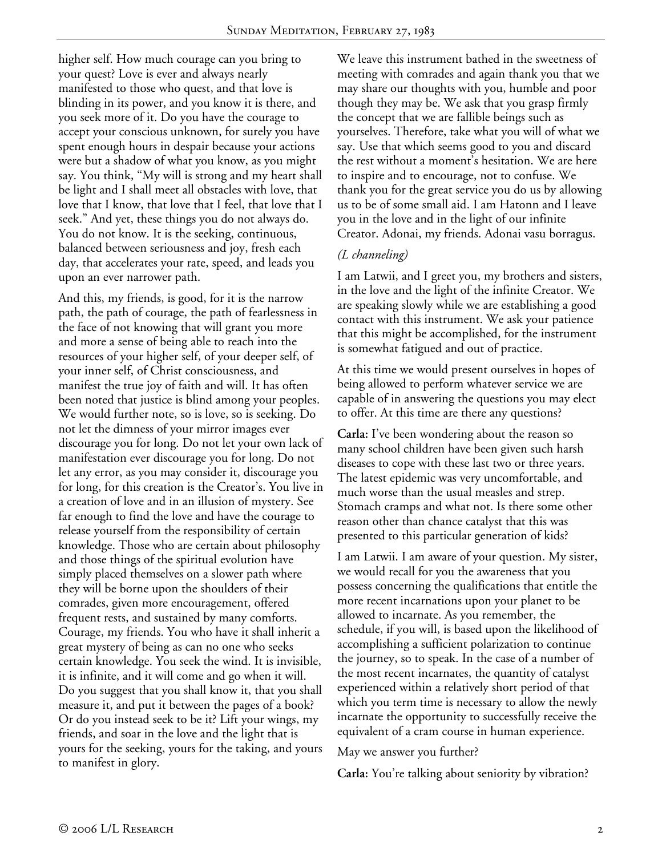higher self. How much courage can you bring to your quest? Love is ever and always nearly manifested to those who quest, and that love is blinding in its power, and you know it is there, and you seek more of it. Do you have the courage to accept your conscious unknown, for surely you have spent enough hours in despair because your actions were but a shadow of what you know, as you might say. You think, "My will is strong and my heart shall be light and I shall meet all obstacles with love, that love that I know, that love that I feel, that love that I seek." And yet, these things you do not always do. You do not know. It is the seeking, continuous, balanced between seriousness and joy, fresh each day, that accelerates your rate, speed, and leads you upon an ever narrower path.

And this, my friends, is good, for it is the narrow path, the path of courage, the path of fearlessness in the face of not knowing that will grant you more and more a sense of being able to reach into the resources of your higher self, of your deeper self, of your inner self, of Christ consciousness, and manifest the true joy of faith and will. It has often been noted that justice is blind among your peoples. We would further note, so is love, so is seeking. Do not let the dimness of your mirror images ever discourage you for long. Do not let your own lack of manifestation ever discourage you for long. Do not let any error, as you may consider it, discourage you for long, for this creation is the Creator's. You live in a creation of love and in an illusion of mystery. See far enough to find the love and have the courage to release yourself from the responsibility of certain knowledge. Those who are certain about philosophy and those things of the spiritual evolution have simply placed themselves on a slower path where they will be borne upon the shoulders of their comrades, given more encouragement, offered frequent rests, and sustained by many comforts. Courage, my friends. You who have it shall inherit a great mystery of being as can no one who seeks certain knowledge. You seek the wind. It is invisible, it is infinite, and it will come and go when it will. Do you suggest that you shall know it, that you shall measure it, and put it between the pages of a book? Or do you instead seek to be it? Lift your wings, my friends, and soar in the love and the light that is yours for the seeking, yours for the taking, and yours to manifest in glory.

We leave this instrument bathed in the sweetness of meeting with comrades and again thank you that we may share our thoughts with you, humble and poor though they may be. We ask that you grasp firmly the concept that we are fallible beings such as yourselves. Therefore, take what you will of what we say. Use that which seems good to you and discard the rest without a moment's hesitation. We are here to inspire and to encourage, not to confuse. We thank you for the great service you do us by allowing us to be of some small aid. I am Hatonn and I leave you in the love and in the light of our infinite Creator. Adonai, my friends. Adonai vasu borragus.

# *(L channeling)*

I am Latwii, and I greet you, my brothers and sisters, in the love and the light of the infinite Creator. We are speaking slowly while we are establishing a good contact with this instrument. We ask your patience that this might be accomplished, for the instrument is somewhat fatigued and out of practice.

At this time we would present ourselves in hopes of being allowed to perform whatever service we are capable of in answering the questions you may elect to offer. At this time are there any questions?

**Carla:** I've been wondering about the reason so many school children have been given such harsh diseases to cope with these last two or three years. The latest epidemic was very uncomfortable, and much worse than the usual measles and strep. Stomach cramps and what not. Is there some other reason other than chance catalyst that this was presented to this particular generation of kids?

I am Latwii. I am aware of your question. My sister, we would recall for you the awareness that you possess concerning the qualifications that entitle the more recent incarnations upon your planet to be allowed to incarnate. As you remember, the schedule, if you will, is based upon the likelihood of accomplishing a sufficient polarization to continue the journey, so to speak. In the case of a number of the most recent incarnates, the quantity of catalyst experienced within a relatively short period of that which you term time is necessary to allow the newly incarnate the opportunity to successfully receive the equivalent of a cram course in human experience.

### May we answer you further?

**Carla:** You're talking about seniority by vibration?